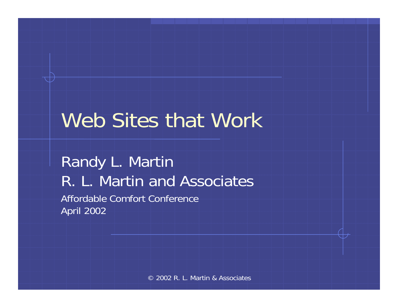# Web Sites that Work

Randy L. Martin R. L. Martin and AssociatesAffordable Comfort Conference April 2002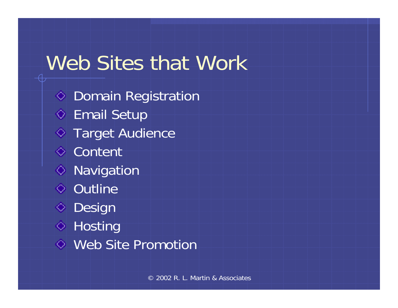### Web Sites that Work

♦ Domain Registration  $\diamond$  Email Setup  $\circ$  Target Audience **↓** Content **◇ Navigation ↓ Outline ◆ Design ↓** Hosting Web Site Promotion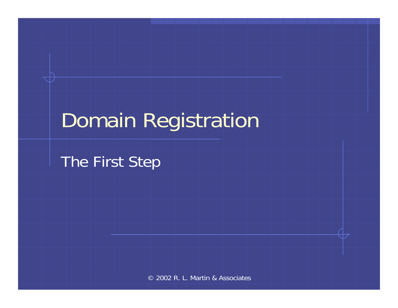# Domain Registration

The First Step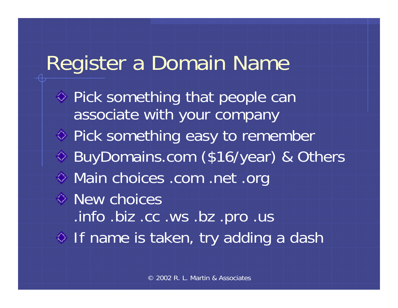### Register a Domain Name

 $\Diamond$  Pick something that people can associate with your company ♦ Pick something easy to remember BuyDomains.com (\$16/year) & Others Main choices .com .net .org New choices .info .biz .cc .ws .bz .pro .us  $\Diamond$  If name is taken, try adding a dash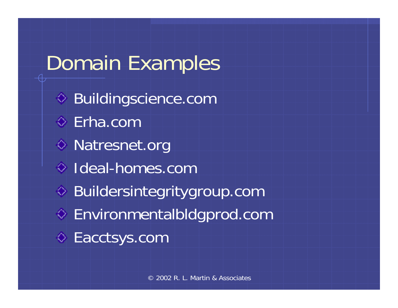# Domain Examples Buildingscience.com Erha.com◆ Natresnet.org Ideal-homes.com◆ Buildersintegritygroup.com Environmentalbldgprod.com ♦ Eacctsys.com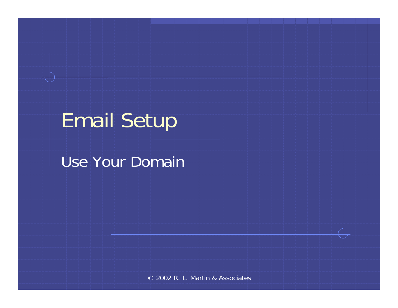# Email Setup

#### Use Your Domain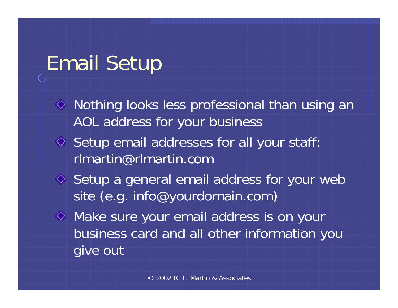## Email Setup

- Nothing looks less professional than using an AOL address for your business
- $\Diamond$  Setup email addresses for all your staff: rlmartin@rlmartin.com
- ♦ Setup a general email address for your web site (e.g. info@yourdomain.com)

Make sure your email address is on your business card and all other information you give out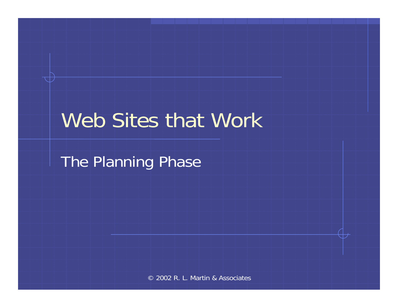#### Web Sites that Work

The Planning Phase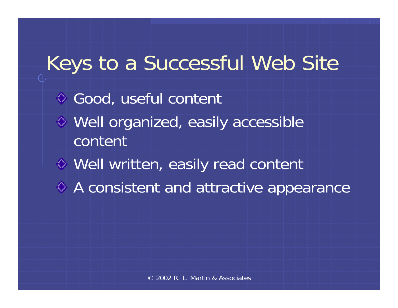# Keys to a Successful Web Site ◆ Good, useful content Well organized, easily accessible contentWell written, easily read content A consistent and attractive appearance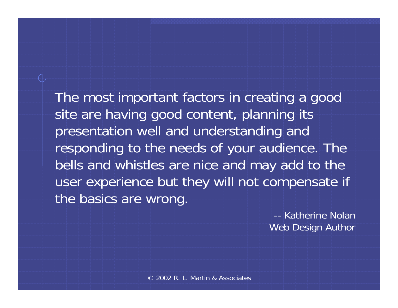The most important factors in creating a good site are having good content, planning its presentation well and understanding and responding to the needs of your audience. The bells and whistles are nice and may add to the user experience but they will not compensate if the basics are wrong.

> -- Katherine NolanWeb Design Author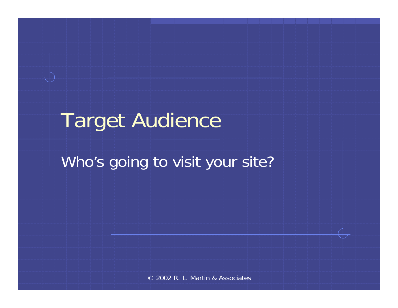### Target Audience

#### Who's going to visit your site?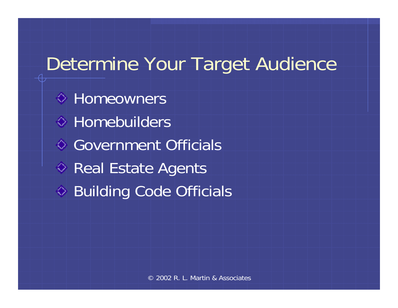#### Determine Your Target Audience

**♦ Homeowners**  $\Diamond$  Homebuilders Government Officials◆ Real Estate Agents Building Code Officials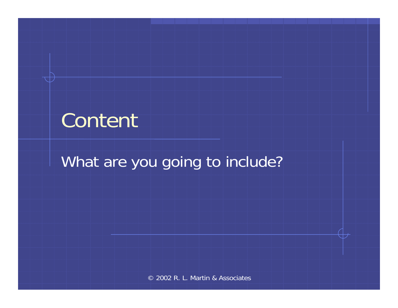## Content

#### What are you going to include?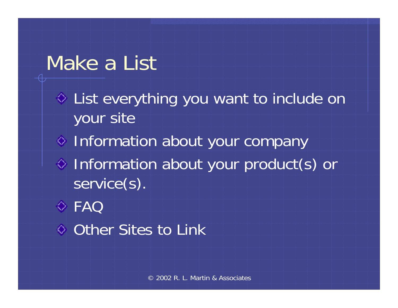#### Make a List

List everything you want to include on your site

- $\diamond$  Information about your company
- Information about your product(s) or service(s).
- FAQ
- **↓ Other Sites to Link**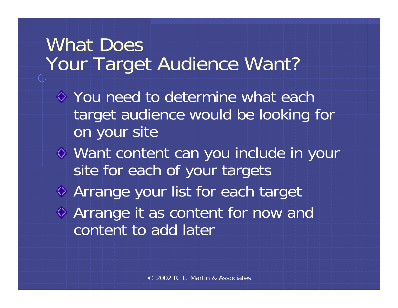#### What Does Your Target Audience Want?

- You need to determine what each target audience would be looking for on your site
- Want content can you include in your site for each of your targets Arrange your list for each target Arrange it as content for now and
	- content to add later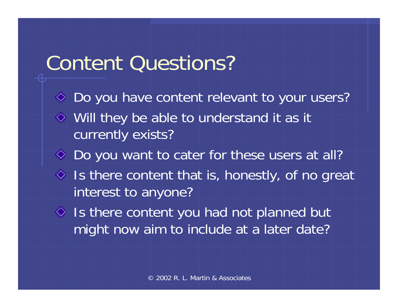#### Content Questions?

- ◆ Do you have content relevant to your users? Will they be able to understand it as it currently exists? ◆ Do you want to cater for these users at all?  $\Diamond$  Is there content that is, honestly, of no great interest to anyone?  $\Diamond$  Is there content you had not planned but
	- might now aim to include at a later date?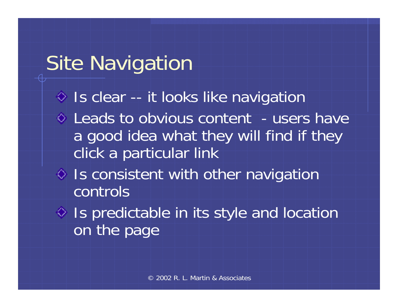## Site Navigation

- $\Diamond$  Is clear -- it looks like navigation
- $\circ$  Leads to obvious content users have a good idea what they will find if they click a particular link
- $\Diamond$  Is consistent with other navigation controls
- $\Diamond$  Is predictable in its style and location on the page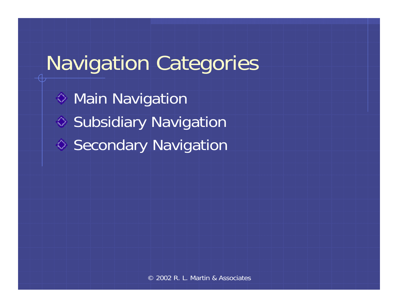# Navigation Categories

**♦ Main Navigation** ♦ Subsidiary Navigation **◆ Secondary Navigation**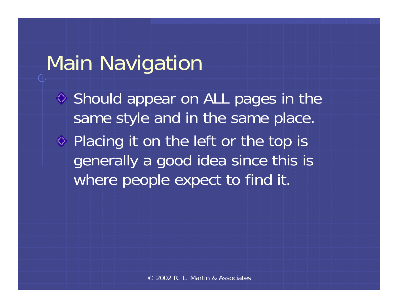#### Main Navigation

♦ Should appear on ALL pages in the same style and in the same place.

◆ Placing it on the left or the top is generally a good idea since this is where people expect to find it.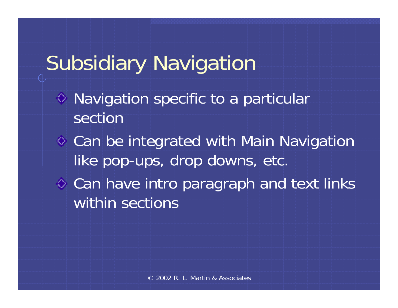# Subsidiary Navigation

- Navigation specific to a particular section
- Can be integrated with Main Navigation like pop-ups, drop downs, etc.
- $\diamond$  Can have intro paragraph and text links within sections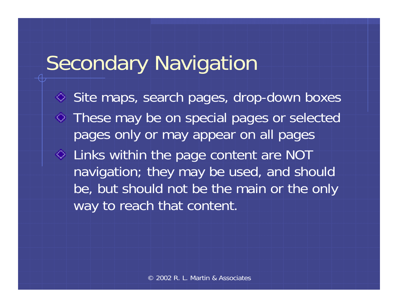# Secondary Navigation

◆ Site maps, search pages, drop-down boxes These may be on special pages or selected pages only or may appear on all pages Links within the page content are NOT navigation; they may be used, and should be, but should not be the main or the only way to reach that content.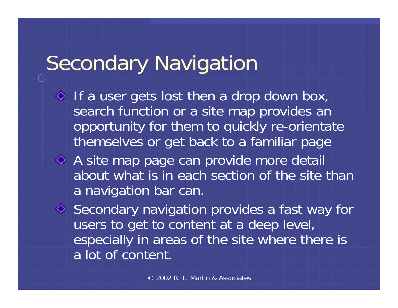# Secondary Navigation

- $\Diamond$  If a user gets lost then a drop down box, search function or a site map provides an opportunity for them to quickly re-orientate themselves or get back to a familiar page
- A site map page can provide more detail about what is in each section of the site than a navigation bar can.

◆ Secondary navigation provides a fast way for users to get to content at a deep level, especially in areas of the site where there is a lot of content.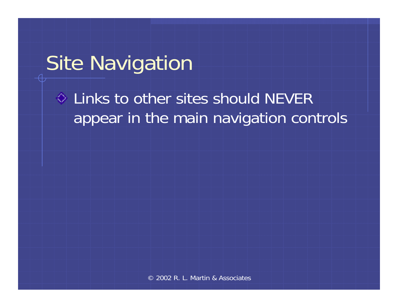### Site Navigation

#### $\Diamond$  Links to other sites should NEVER appear in the main navigation controls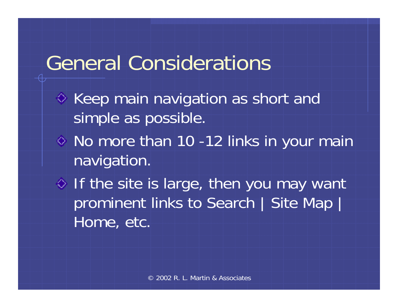#### General Considerations

- $\Diamond$  Keep main navigation as short and simple as possible.
- No more than 10 -12 links in your main navigation.
- $\Diamond$  If the site is large, then you may want prominent links to Search | Site Map | Home, etc.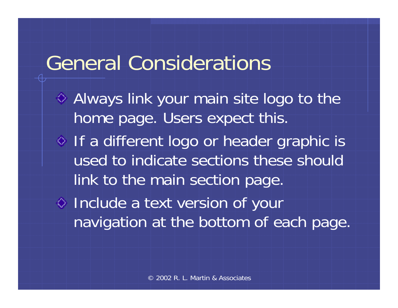#### General Considerations

Always link your main site logo to the home page. Users expect this. o If a different logo or header graphic is used to indicate sections these should link to the main section page. Include a text version of your navigation at the bottom of each page.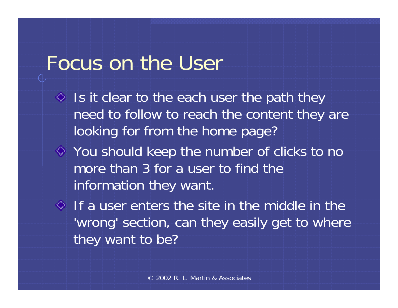#### Focus on the User

- $\Diamond$  Is it clear to the each user the path they need to follow to reach the content they are looking for from the home page?
- $\Diamond$  You should keep the number of clicks to no more than 3 for a user to find the information they want.
- $\Diamond$  If a user enters the site in the middle in the 'wrong' section, can they easily get to where they want to be?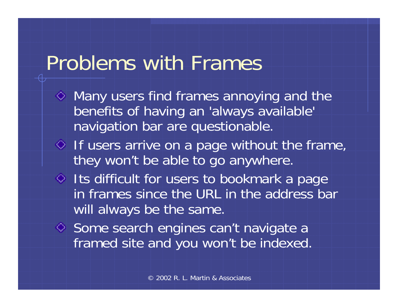### Problems with Frames

- $\Diamond$  Many users find frames annoying and the benefits of having an 'always available' navigation bar are questionable.
- $\Diamond$  If users arrive on a page without the frame, they won't be able to go anywhere.
- Its difficult for users to bookmark a page in frames since the URL in the address bar will always be the same.
- ♦ Some search engines can't navigate a framed site and you won't be indexed.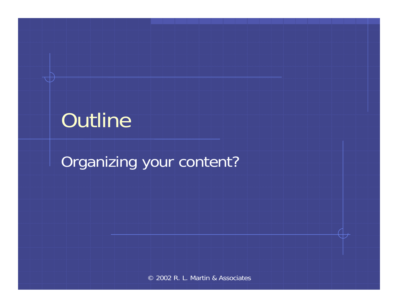# **Outline**

Organizing your content?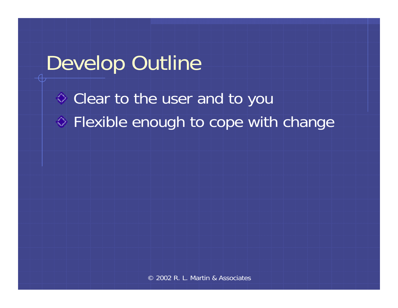#### Develop Outline

Clear to the user and to you **♦ Flexible enough to cope with change**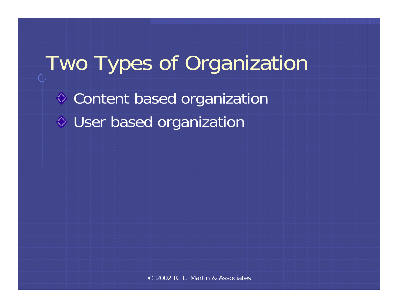# Two Types of Organization **♦ Content based organization** User based organization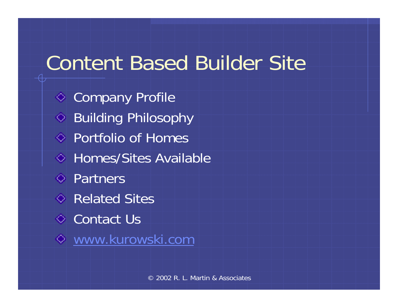#### Content Based Builder Site

**♦ Company Profile ◆ Building Philosophy** Portfolio of Homes **♦ Homes/Sites Available ↓** Partners Related Sites**↓ Contact Us** [www.kurowski.com](http://www.kurowski.com/)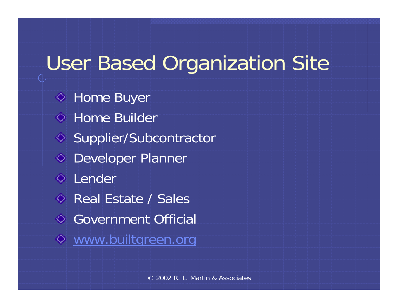# User Based Organization Site

 $\Diamond$  Home Buyer **↓ Home Builder** ◆ Supplier/Subcontractor ◆ Developer Planner **↓** Lender Real Estate / Sales Government Official [www.builtgreen.org](http://www.builtgreen.org/)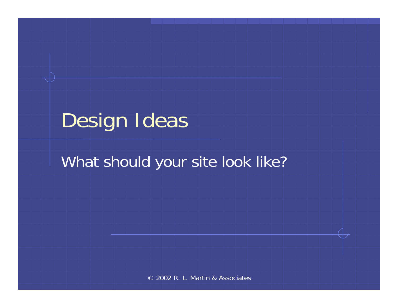# Design Ideas

#### What should your site look like?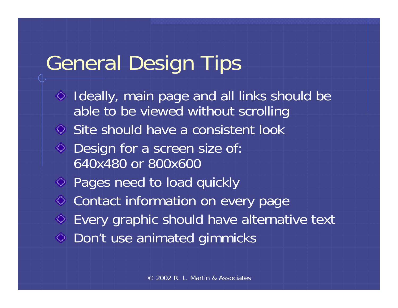### General Design Tips

 $\Diamond$  Ideally, main page and all links should be able to be viewed without scrolling Site should have a consistent look ◆ Design for a screen size of: 640x480 or 800x600Pages need to load quickly **♦ Contact information on every page** Every graphic should have alternative text **♦ Don't use animated gimmicks**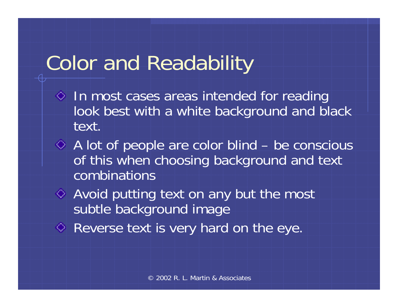# Color and Readability

- $\Diamond$  In most cases areas intended for reading look best with a white background and black text.
- A lot of people are color blind be conscious of this when choosing background and text combinations
- Avoid putting text on any but the most subtle background image
- Reverse text is very hard on the eye.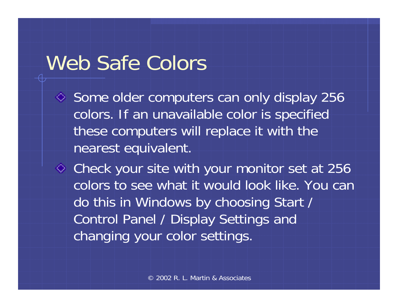### Web Safe Colors

 $\Diamond$  Some older computers can only display 256 colors. If an unavailable color is specified these computers will replace it with the nearest equivalent.

Check your site with your monitor set at 256 colors to see what it would look like. You can do this in Windows by choosing Start / Control Panel / Display Settings and changing your color settings.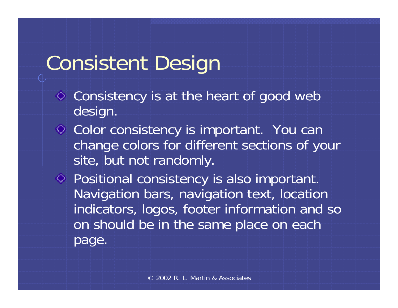# Consistent Design

- Consistency is at the heart of good web design.
- **◇ Color consistency is important.** You can change colors for different sections of your site, but not randomly.
- ◆ Positional consistency is also important. Navigation bars, navigation text, location indicators, logos, footer information and so on should be in the same place on each page.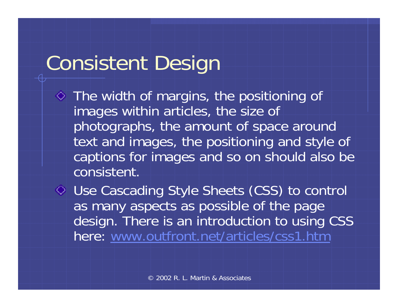## Consistent Design

 $\Diamond$  The width of margins, the positioning of images within articles, the size of photographs, the amount of space around text and images, the positioning and style of captions for images and so on should also be consistent.

Use Cascading Style Sheets (CSS) to control as many aspects as possible of the page design. There is an introduction to using CSS here: [www.outfront.net/articles/css1.htm](http://www.outfront.net/articles/css1.htm)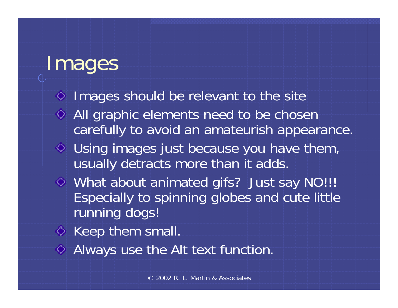### Images

- $\Diamond$  Images should be relevant to the site All graphic elements need to be chosen carefully to avoid an amateurish appearance. Using images just because you have them, usually detracts more than it adds. What about animated gifs? Just say NO!!! Especially to spinning globes and cute little running dogs!
- $\Diamond$  Keep them small.
- Always use the Alt text function.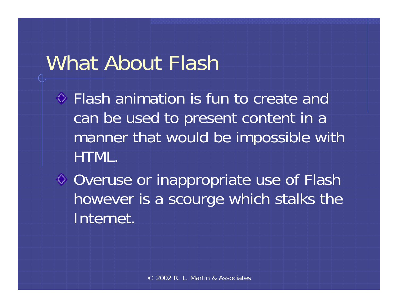### What About Flash

- Flash animation is fun to create and can be used to present content in a manner that would be impossible with HTML.
- ♦ Overuse or inappropriate use of Flash however is a scourge which stalks the Internet.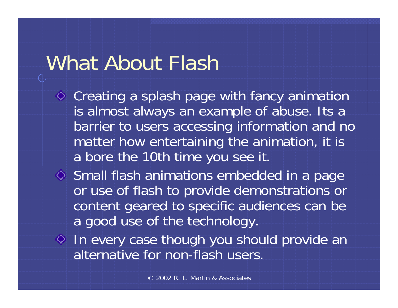### What About Flash

- ◆ Creating a splash page with fancy animation is almost always an example of abuse. Its a barrier to users accessing information and no matter how entertaining the animation, it is a bore the 10th time you see it.
- Small flash animations embedded in a page or use of flash to provide demonstrations or content geared to specific audiences can be a good use of the technology.
- $\Diamond$  In every case though you should provide an alternative for non-flash users.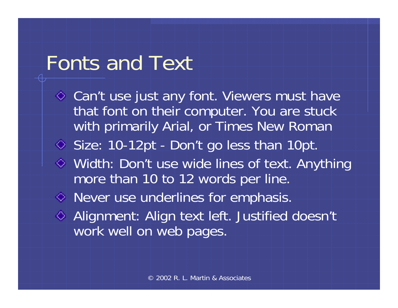### Fonts and Text

◆ Can't use just any font. Viewers must have that font on their computer. You are stuck with primarily Arial, or Times New Roman Size: 10-12pt - Don't go less than 10pt. Width: Don't use wide lines of text. Anything more than 10 to 12 words per line. Never use underlines for emphasis. ◆ Alignment: Align text left. Justified doesn't work well on web pages.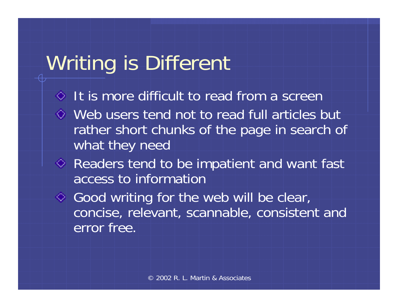# Writing is Different

- It is more difficult to read from a screen
- Web users tend not to read full articles but rather short chunks of the page in search of what they need
- ◆ Readers tend to be impatient and want fast access to information
- ◆ Good writing for the web will be clear, concise, relevant, scannable, consistent and error free.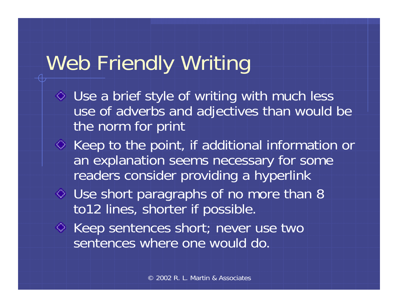# Web Friendly Writing

- Use a brief style of writing with much less use of adverbs and adjectives than would be the norm for print
- $\Diamond$  Keep to the point, if additional information or an explanation seems necessary for some readers consider providing a hyperlink
- Use short paragraphs of no more than 8 to12 lines, shorter if possible.
- ◆ Keep sentences short; never use two sentences where one would do.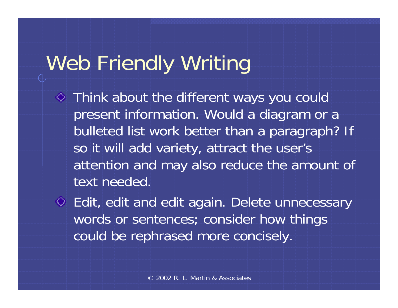# Web Friendly Writing

- Think about the different ways you could present information. Would a diagram or a bulleted list work better than a paragraph? If so it will add variety, attract the user's attention and may also reduce the amount of text needed.
- Edit, edit and edit again. Delete unnecessary words or sentences; consider how things could be rephrased more concisely.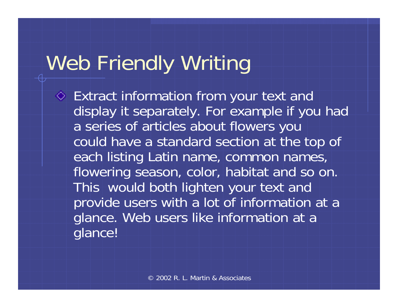# Web Friendly Writing

Extract information from your text and display it separately. For example if you had a series of articles about flowers you could have a standard section at the top of each listing Latin name, common names, flowering season, color, habitat and so on. This would both lighten your text and provide users with a lot of information at a glance. Web users like information at a glance!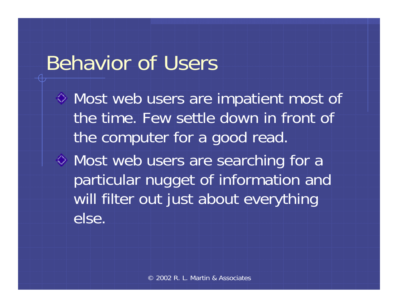#### Behavior of Users

Most web users are impatient most of the time. Few settle down in front of the computer for a good read.

Most web users are searching for a particular nugget of information and will filter out just about everything else.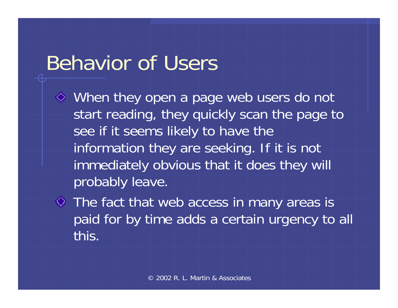#### Behavior of Users

- When they open a page web users do not start reading, they quickly scan the page to see if it seems likely to have the information they are seeking. If it is not immediately obvious that it does they will probably leave.
- The fact that web access in many areas is paid for by time adds a certain urgency to all this.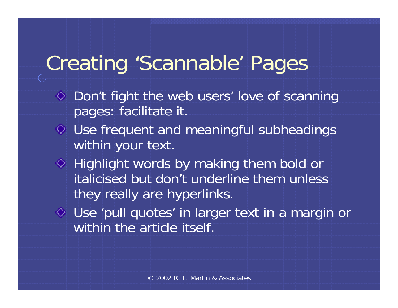# Creating 'Scannable' Pages

- $\Diamond$  Don't fight the web users' love of scanning pages: facilitate it.
- Use frequent and meaningful subheadings within your text.
- $\Diamond$  Highlight words by making them bold or italicised but don't underline them unless they really are hyperlinks.
- Use 'pull quotes' in larger text in a margin or within the article itself.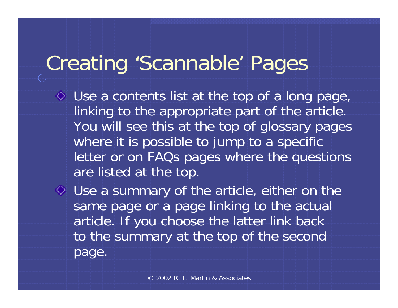## Creating 'Scannable' Pages

Use a contents list at the top of a long page, linking to the appropriate part of the article. You will see this at the top of glossary pages where it is possible to jump to a specific letter or on FAQs pages where the questions are listed at the top.

Use a summary of the article, either on the same page or a page linking to the actual article. If you choose the latter link back to the summary at the top of the second page.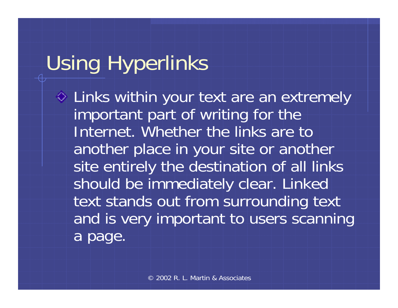# Using Hyperlinks

 $\Diamond$  Links within your text are an extremely important part of writing for the Internet. Whether the links are to another place in your site or another site entirely the destination of all links should be immediately clear. Linked text stands out from surrounding text and is very important to users scanning a page.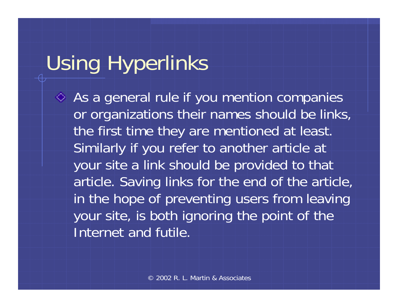# Using Hyperlinks

 $\Leftrightarrow$  As a general rule if you mention companies or organizations their names should be links, the first time they are mentioned at least. Similarly if you refer to another article at your site a link should be provided to that article. Saving links for the end of the article, in the hope of preventing users from leaving your site, is both ignoring the point of the Internet and futile.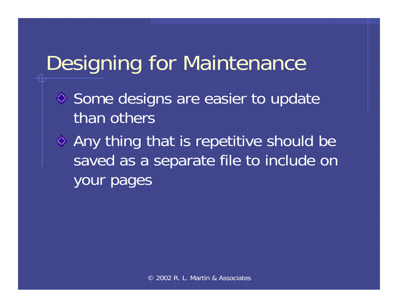## Designing for Maintenance

- Some designs are easier to update than others
- Any thing that is repetitive should be saved as a separate file to include on your pages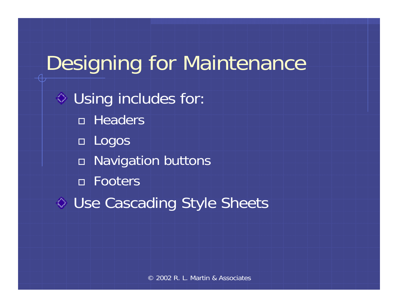Designing for Maintenance  $\circ$  Using includes for: Headers Logos □ Navigation buttons Footers ♦ Use Cascading Style Sheets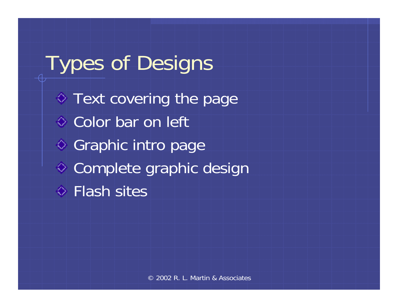Types of Designs  $\diamond$  Text covering the page **↓ Color bar on left** ◆ Graphic intro page Complete graphic design **♦ Flash sites**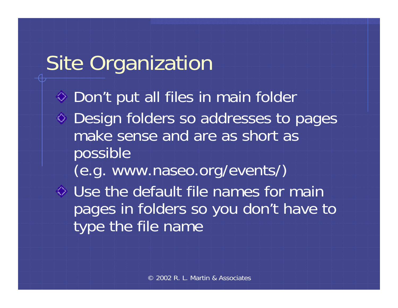### Site Organization

◆ Don't put all files in main folder Design folders so addresses to pages make sense and are as short as

possible

(e.g. www.naseo.org/events/)

Use the default file names for main pages in folders so you don't have to type the file name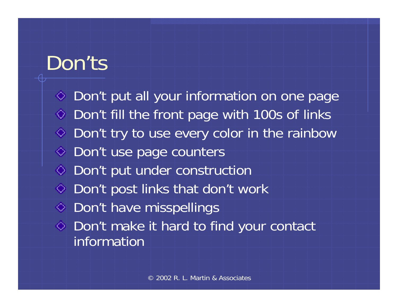#### Don'ts

◆ Don't put all your information on one page  $\Diamond$  Don't fill the front page with 100s of links ◆ Don't try to use every color in the rainbow ◆ Don't use page counters ♦ Don't put under construction  $\Diamond$  Don't post links that don't work ◆ Don't have misspellings Don't make it hard to find your contact information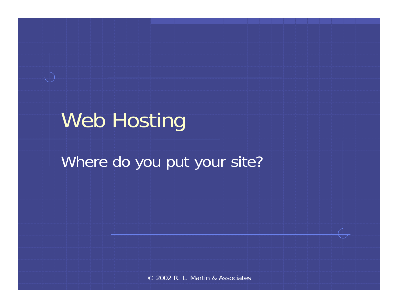### Web Hosting

#### Where do you put your site?

© 2002 R. L. Martin & Associates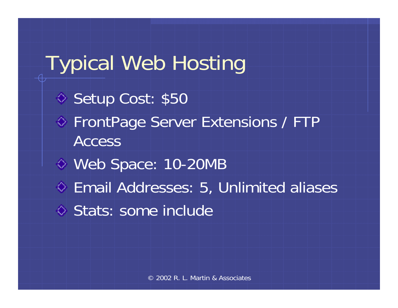Typical Web Hosting ◆ Setup Cost: \$50 ◆ FrontPage Server Extensions / FTP **Access** Web Space: 10-20MB Email Addresses: 5, Unlimited aliases ♦ Stats: some include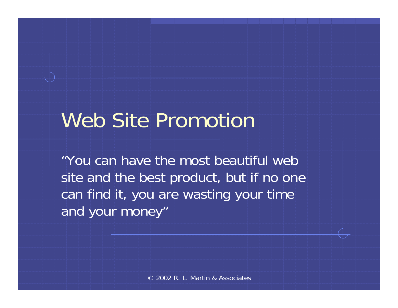### Web Site Promotion

"You can have the most beautiful web site and the best product, but if no one can find it, you are wasting your time and your money"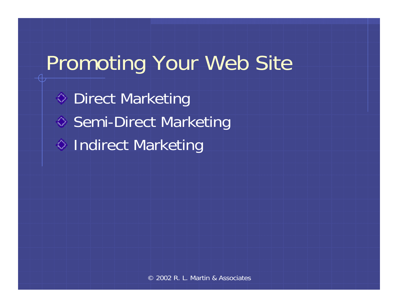## Promoting Your Web Site

**S** Direct Marketing ◆ Semi-Direct Marketing ♦ Indirect Marketing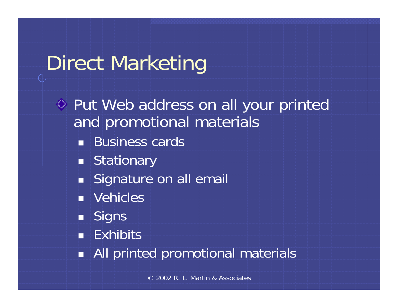# Direct Marketing

◆ Put Web address on all your printed and promotional materials **Business cards** ■ Stationary **Signature on all email Nehicles**  Signs **- Exhibits** All printed promotional materials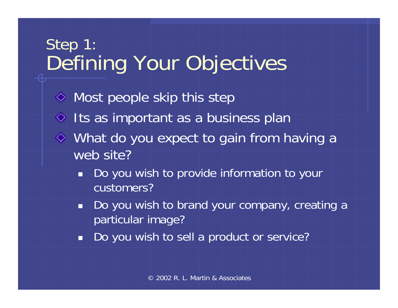#### Step 1: Defining Your Objectives

- $\Diamond$  Most people skip this step  $\Diamond$  Its as important as a business plan What do you expect to gain from having a web site?
	- ٠ Do you wish to provide information to your customers?
	- $\blacksquare$  Do you wish to brand your company, creating a particular image?
	- Ť Do you wish to sell a product or service?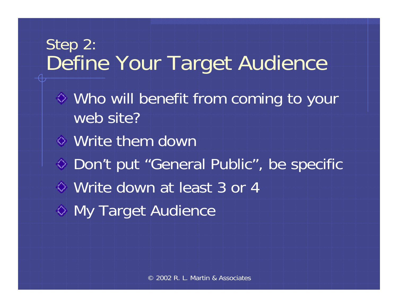#### Step 2: Define Your Target Audience

- Who will benefit from coming to your web site?
- Write them down
- ◆ Don't put "General Public", be specific
- Write down at least 3 or 4
- ◆ My Target Audience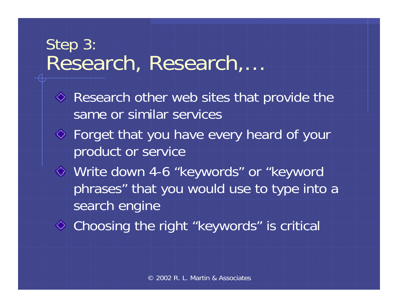#### Step 3: Research, Research,…

- $\Diamond$  Research other web sites that provide the same or similar services
- Forget that you have every heard of your product or service
- Write down 4-6 "keywords" or "keyword phrases" that you would use to type into a search engine
- Choosing the right "keywords" is critical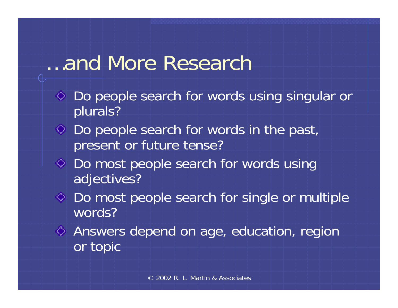#### …and More Research

- Do people search for words using singular or plurals?
- Do people search for words in the past, present or future tense?
- $\Diamond$  Do most people search for words using adjectives?
- ◆ Do most people search for single or multiple words?
- Answers depend on age, education, region or topic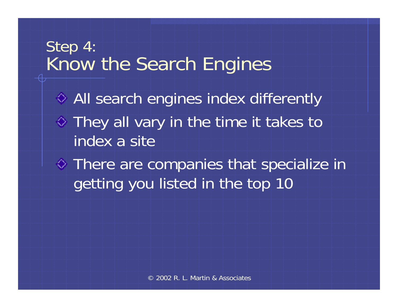#### Step 4: Know the Search Engines

All search engines index differently  $\Diamond$  They all vary in the time it takes to index a site

There are companies that specialize in getting you listed in the top 10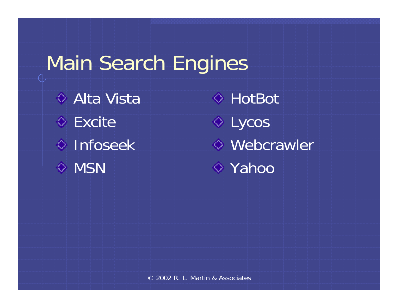### Main Search Engines

**♦ Alta Vista Excite** Infoseek **E** MSN

**◆ HotBot** Lycos Webcrawler **E** Yahoo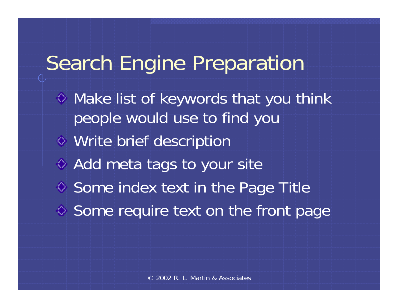### Search Engine Preparation

- $\Diamond$  Make list of keywords that you think people would use to find you
- Write brief description
- ◆ Add meta tags to your site
- $\diamond$  Some index text in the Page Title
- ♦ Some require text on the front page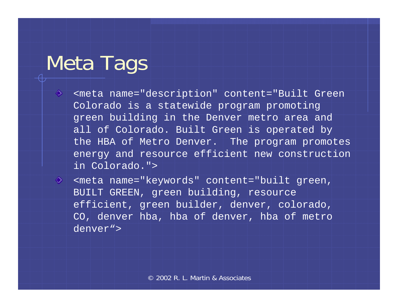### Meta Tags

- ♦ <meta name="description" content="Built Green Colorado is a statewide program promoting green building in the Denver metro area and all of Colorado. Built Green is operated by the HBA of Metro Denver. The program promotes energy and resource efficient new construction in Colorado.">
- ◈ <meta name="keywords" content="built green, BUILT GREEN, green building, resource efficient, green builder, denver, colorado, CO, denver hba, hba of denver, hba of metro denver">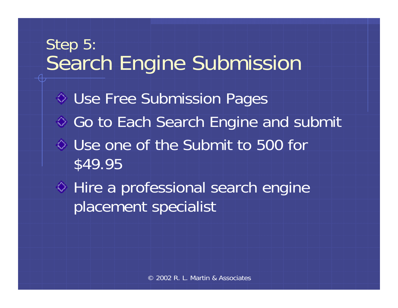## Step 5: Search Engine Submission Use Free Submission Pages ♦ Go to Each Search Engine and submit Use one of the Submit to 500 for \$49.95 ♦ Hire a professional search engine placement specialist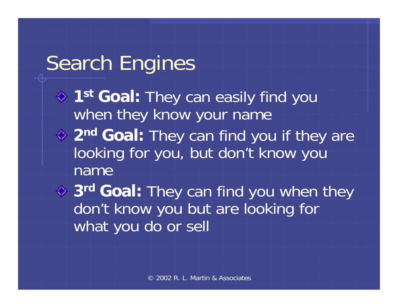### Search Engines

- **1st Goal:** They can easily find you when they know your name **2nd Goal:** They can find you if they are
- looking for you, but don't know you name

**3rd Goal:** They can find you when they don't know you but are looking for what you do or sell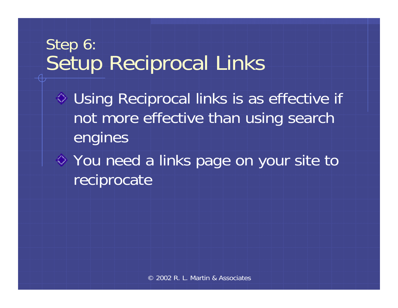#### Step 6: Setup Reciprocal Links

- Using Reciprocal links is as effective if not more effective than using search engines
- You need a links page on your site to reciprocate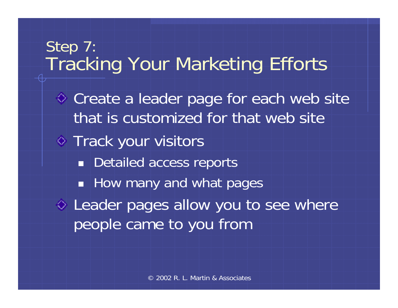### Step 7: Tracking Your Marketing Efforts ◆ Create a leader page for each web site that is customized for that web site**♦ Track your visitors Detailed access reports**  $\Box$  How many and what pages  $\Diamond$  Leader pages allow you to see where people came to you from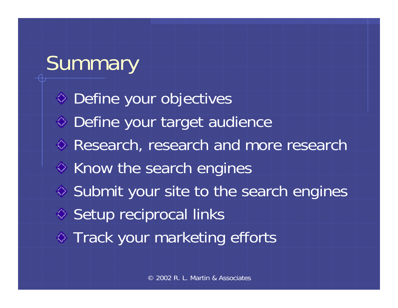# Summary

◆ Define your objectives Define your target audience Research, research and more research  $\Diamond$  Know the search engines ♦ Submit your site to the search engines ◆ Setup reciprocal links  $\Diamond$  Track your marketing efforts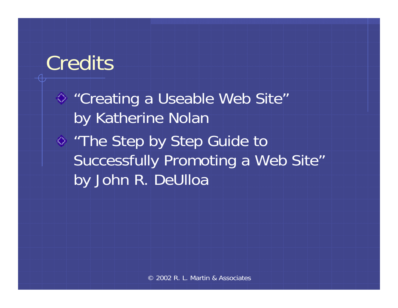### **Credits**

"Creating a Useable Web Site" by Katherine Nolan "The Step by Step Guide to Successfully Promoting a Web Site" by John R. DeUlloa